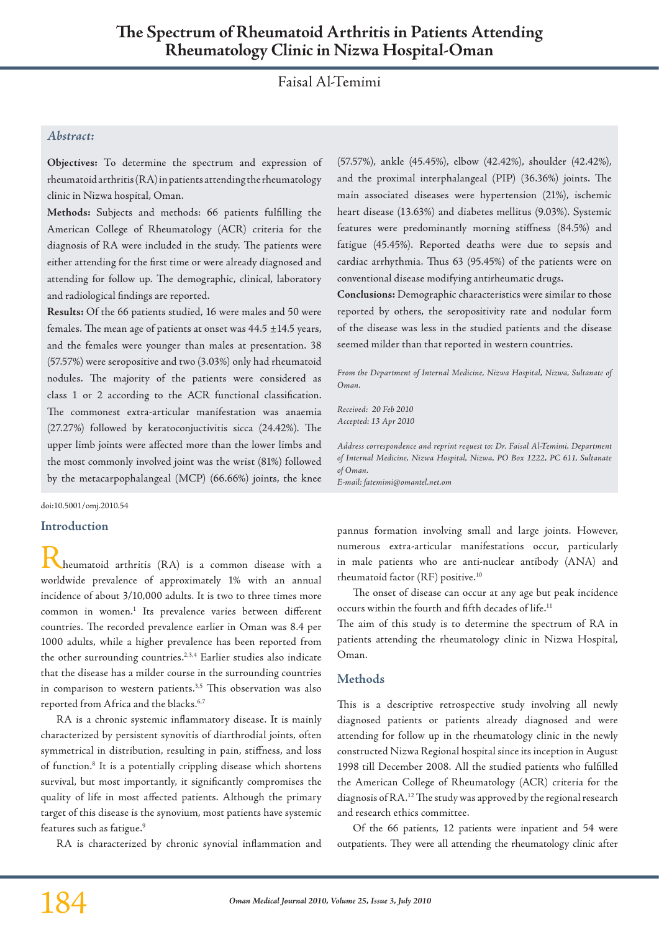# Faisal Al-Temimi

# *Abstract:*

**Objectives:** To determine the spectrum and expression of rheumatoid arthritis (RA) in patients attending the rheumatology clinic in Nizwa hospital, Oman.

**Methods:** Subjects and methods: 66 patients fulfilling the American College of Rheumatology (ACR) criteria for the diagnosis of RA were included in the study. The patients were either attending for the first time or were already diagnosed and attending for follow up. The demographic, clinical, laboratory and radiological findings are reported.

**Results:** Of the 66 patients studied, 16 were males and 50 were females. The mean age of patients at onset was  $44.5 \pm 14.5$  years, and the females were younger than males at presentation. 38 (57.57%) were seropositive and two (3.03%) only had rheumatoid nodules. The majority of the patients were considered as class 1 or 2 according to the ACR functional classification. The commonest extra-articular manifestation was anaemia (27.27%) followed by keratoconjuctivitis sicca (24.42%). The upper limb joints were affected more than the lower limbs and the most commonly involved joint was the wrist (81%) followed by the metacarpophalangeal (MCP) (66.66%) joints, the knee

doi:10.5001/omj.2010.54

#### **Introduction**

Rheumatoid arthritis (RA) is a common disease with a worldwide prevalence of approximately 1% with an annual incidence of about 3/10,000 adults. It is two to three times more common in women.<sup>1</sup> Its prevalence varies between different countries. The recorded prevalence earlier in Oman was 8.4 per 1000 adults, while a higher prevalence has been reported from the other surrounding countries.<sup>2,3,4</sup> Earlier studies also indicate that the disease has a milder course in the surrounding countries in comparison to western patients.<sup>3,5</sup> This observation was also reported from Africa and the blacks.<sup>6,7</sup>

RA is a chronic systemic inflammatory disease. It is mainly characterized by persistent synovitis of diarthrodial joints, often symmetrical in distribution, resulting in pain, stiffness, and loss of function.8 It is a potentially crippling disease which shortens survival, but most importantly, it significantly compromises the quality of life in most affected patients. Although the primary target of this disease is the synovium, most patients have systemic features such as fatigue.<sup>9</sup>

RA is characterized by chronic synovial inflammation and

(57.57%), ankle (45.45%), elbow (42.42%), shoulder (42.42%), and the proximal interphalangeal (PIP) (36.36%) joints. The main associated diseases were hypertension (21%), ischemic heart disease (13.63%) and diabetes mellitus (9.03%). Systemic features were predominantly morning stiffness (84.5%) and fatigue (45.45%). Reported deaths were due to sepsis and cardiac arrhythmia. Thus 63 (95.45%) of the patients were on conventional disease modifying antirheumatic drugs.

**Conclusions:** Demographic characteristics were similar to those reported by others, the seropositivity rate and nodular form of the disease was less in the studied patients and the disease seemed milder than that reported in western countries.

*From the Department of Internal Medicine, Nizwa Hospital, Nizwa, Sultanate of Oman.*

*Received: 20 Feb 2010 Accepted: 13 Apr 2010*

*Address correspondence and reprint request to: Dr. Faisal Al-Temimi, Department of Internal Medicine, Nizwa Hospital, Nizwa, PO Box 1222, PC 611, Sultanate of Oman.*

*E-mail: fatemimi@omantel.net.om*

pannus formation involving small and large joints. However, numerous extra-articular manifestations occur, particularly in male patients who are anti-nuclear antibody (ANA) and rheumatoid factor (RF) positive.10

The onset of disease can occur at any age but peak incidence occurs within the fourth and fifth decades of life.<sup>11</sup>

The aim of this study is to determine the spectrum of RA in patients attending the rheumatology clinic in Nizwa Hospital, Oman.

#### **Methods**

This is a descriptive retrospective study involving all newly diagnosed patients or patients already diagnosed and were attending for follow up in the rheumatology clinic in the newly constructed Nizwa Regional hospital since its inception in August 1998 till December 2008. All the studied patients who fulfilled the American College of Rheumatology (ACR) criteria for the diagnosis of RA.12 The study was approved by the regional research and research ethics committee.

Of the 66 patients, 12 patients were inpatient and 54 were outpatients. They were all attending the rheumatology clinic after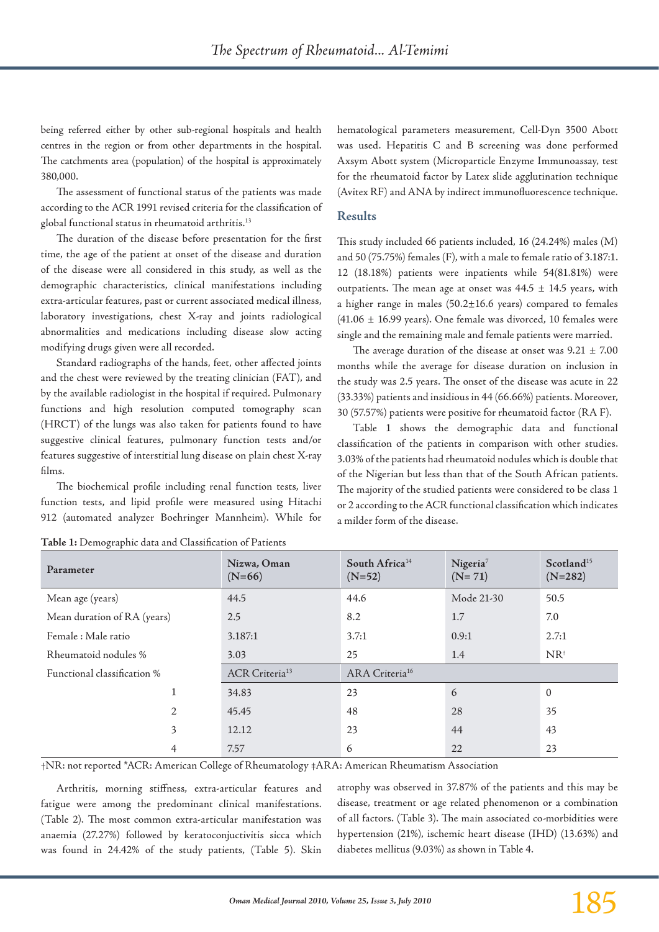being referred either by other sub-regional hospitals and health centres in the region or from other departments in the hospital. The catchments area (population) of the hospital is approximately 380,000.

The assessment of functional status of the patients was made according to the ACR 1991 revised criteria for the classification of global functional status in rheumatoid arthritis.13

The duration of the disease before presentation for the first time, the age of the patient at onset of the disease and duration of the disease were all considered in this study, as well as the demographic characteristics, clinical manifestations including extra-articular features, past or current associated medical illness, laboratory investigations, chest X-ray and joints radiological abnormalities and medications including disease slow acting modifying drugs given were all recorded.

Standard radiographs of the hands, feet, other affected joints and the chest were reviewed by the treating clinician (FAT), and by the available radiologist in the hospital if required. Pulmonary functions and high resolution computed tomography scan (HRCT) of the lungs was also taken for patients found to have suggestive clinical features, pulmonary function tests and/or features suggestive of interstitial lung disease on plain chest X-ray films.

The biochemical profile including renal function tests, liver function tests, and lipid profile were measured using Hitachi 912 (automated analyzer Boehringer Mannheim). While for hematological parameters measurement, Cell-Dyn 3500 Abott was used. Hepatitis C and B screening was done performed Axsym Abott system (Microparticle Enzyme Immunoassay, test for the rheumatoid factor by Latex slide agglutination technique (Avitex RF) and ANA by indirect immunofluorescence technique.

## **Results**

This study included 66 patients included, 16 (24.24%) males (M) and 50 (75.75%) females (F), with a male to female ratio of 3.187:1. 12 (18.18%) patients were inpatients while 54(81.81%) were outpatients. The mean age at onset was  $44.5 \pm 14.5$  years, with a higher range in males  $(50.2 \pm 16.6 \text{ years})$  compared to females (41.06 ± 16.99 years). One female was divorced, 10 females were single and the remaining male and female patients were married.

The average duration of the disease at onset was  $9.21 \pm 7.00$ months while the average for disease duration on inclusion in the study was 2.5 years. The onset of the disease was acute in 22 (33.33%) patients and insidious in 44 (66.66%) patients. Moreover, 30 (57.57%) patients were positive for rheumatoid factor (RA F).

Table 1 shows the demographic data and functional classification of the patients in comparison with other studies. 3.03% of the patients had rheumatoid nodules which is double that of the Nigerian but less than that of the South African patients. The majority of the studied patients were considered to be class 1 or 2 according to the ACR functional classification which indicates a milder form of the disease.

| Parameter                   | Nizwa, Oman<br>$(N=66)$    | South Africa <sup>14</sup><br>$(N=52)$ | Nigeria <sup>7</sup><br>$(N = 71)$ | Scotland <sup>15</sup><br>$(N=282)$ |
|-----------------------------|----------------------------|----------------------------------------|------------------------------------|-------------------------------------|
| Mean age (years)            | 44.5                       | 44.6                                   | Mode 21-30                         | 50.5                                |
| Mean duration of RA (years) | 2.5                        | 8.2                                    | 1.7                                | 7.0                                 |
| Female: Male ratio          | 3.187:1                    | 3.7:1                                  | 0.9:1                              | 2.7:1                               |
| Rheumatoid nodules %        | 3.03                       | 25                                     | 1.4                                | $NR^{\dagger}$                      |
| Functional classification % | ACR Criteria <sup>13</sup> | ARA Criteria <sup>16</sup>             |                                    |                                     |
|                             | 34.83                      | 23                                     | 6                                  | $\overline{0}$                      |
| 2                           | 45.45                      | 48                                     | 28                                 | 35                                  |
| 3                           | 12.12                      | 23                                     | 44                                 | 43                                  |
| 4                           | 7.57                       | 6                                      | 22                                 | 23                                  |

| Table 1: Demographic data and Classification of Patients |  |  |
|----------------------------------------------------------|--|--|
|----------------------------------------------------------|--|--|

†NR: not reported \*ACR: American College of Rheumatology ‡ARA: American Rheumatism Association

Arthritis, morning stiffness, extra-articular features and fatigue were among the predominant clinical manifestations. (Table 2). The most common extra-articular manifestation was anaemia (27.27%) followed by keratoconjuctivitis sicca which was found in 24.42% of the study patients, (Table 5). Skin

atrophy was observed in 37.87% of the patients and this may be disease, treatment or age related phenomenon or a combination of all factors. (Table 3). The main associated co-morbidities were hypertension (21%), ischemic heart disease (IHD) (13.63%) and diabetes mellitus (9.03%) as shown in Table 4.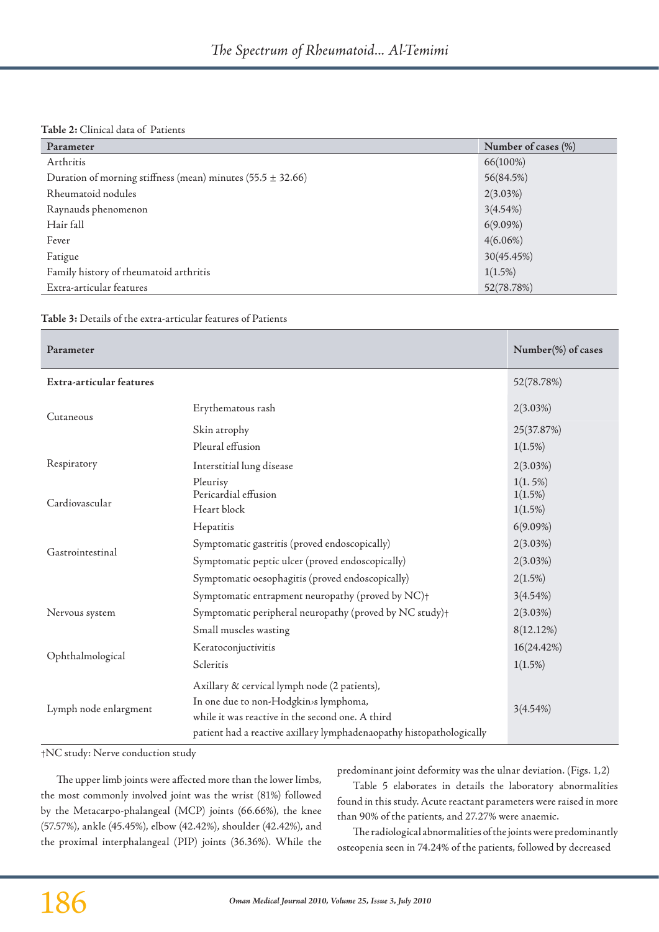#### **Table 2:** Clinical data of Patients

| Parameter                                                       | Number of cases (%) |
|-----------------------------------------------------------------|---------------------|
| Arthritis                                                       | 66(100%)            |
| Duration of morning stiffness (mean) minutes $(55.5 \pm 32.66)$ | 56(84.5%)           |
| Rheumatoid nodules                                              | 2(3.03%)            |
| Raynauds phenomenon                                             | 3(4.54%)            |
| Hair fall                                                       | $6(9.09\%)$         |
| Fever                                                           | $4(6.06\%)$         |
| Fatigue                                                         | 30(45.45%)          |
| Family history of rheumatoid arthritis                          | $1(1.5\%)$          |
| Extra-articular features                                        | 52(78.78%)          |

**Table 3:** Details of the extra-articular features of Patients

| Parameter                |                                                                                                                                                                                                                   | Number(%) of cases                  |
|--------------------------|-------------------------------------------------------------------------------------------------------------------------------------------------------------------------------------------------------------------|-------------------------------------|
| Extra-articular features |                                                                                                                                                                                                                   | 52(78.78%)                          |
| Cutaneous                | Erythematous rash                                                                                                                                                                                                 | $2(3.03\%)$                         |
|                          | Skin atrophy                                                                                                                                                                                                      | 25(37.87%)                          |
|                          | Pleural effusion                                                                                                                                                                                                  | $1(1.5\%)$                          |
| Respiratory              | Interstitial lung disease                                                                                                                                                                                         | 2(3.03%)                            |
| Cardiovascular           | Pleurisy<br>Pericardial effusion<br>Heart block                                                                                                                                                                   | 1(1.5%)<br>$1(1.5\%)$<br>$1(1.5\%)$ |
|                          | Hepatitis                                                                                                                                                                                                         | $6(9.09\%)$                         |
| Gastrointestinal         | Symptomatic gastritis (proved endoscopically)                                                                                                                                                                     | $2(3.03\%)$                         |
|                          | Symptomatic peptic ulcer (proved endoscopically)                                                                                                                                                                  | 2(3.03%)                            |
|                          | Symptomatic oesophagitis (proved endoscopically)                                                                                                                                                                  | 2(1.5%)                             |
|                          | Symptomatic entrapment neuropathy (proved by NC)+                                                                                                                                                                 | 3(4.54%)                            |
| Nervous system           | Symptomatic peripheral neuropathy (proved by NC study)+                                                                                                                                                           | 2(3.03%)                            |
|                          | Small muscles wasting                                                                                                                                                                                             | 8(12.12%)                           |
| Ophthalmological         | Keratoconjuctivitis                                                                                                                                                                                               | 16(24.42%)                          |
|                          | Scleritis                                                                                                                                                                                                         | $1(1.5\%)$                          |
| Lymph node enlargment    | Axillary & cervical lymph node (2 patients),<br>In one due to non-Hodgkin>s lymphoma,<br>while it was reactive in the second one. A third<br>patient had a reactive axillary lymphadenaopathy histopathologically | 3(4.54%)                            |

†NC study: Nerve conduction study

The upper limb joints were affected more than the lower limbs, the most commonly involved joint was the wrist (81%) followed by the Metacarpo-phalangeal (MCP) joints (66.66%), the knee (57.57%), ankle (45.45%), elbow (42.42%), shoulder (42.42%), and the proximal interphalangeal (PIP) joints (36.36%). While the predominant joint deformity was the ulnar deviation. (Figs. 1,2)

Table 5 elaborates in details the laboratory abnormalities found in this study. Acute reactant parameters were raised in more than 90% of the patients, and 27.27% were anaemic.

The radiological abnormalities of the joints were predominantly osteopenia seen in 74.24% of the patients, followed by decreased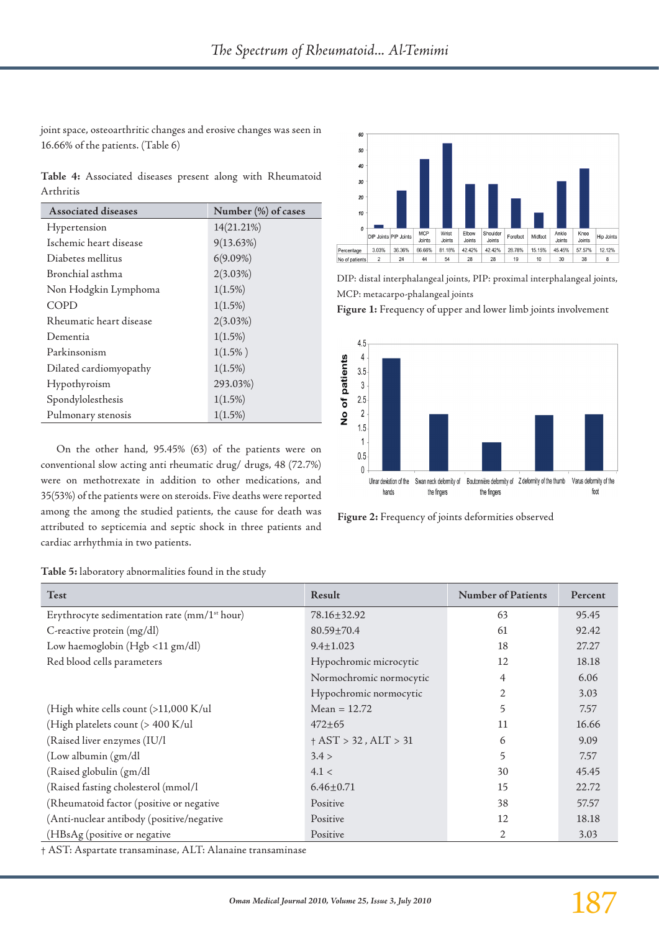joint space, osteoarthritic changes and erosive changes was seen in 16.66% of the patients. (Table 6)

**Table 4:** Associated diseases present along with Rheumatoid Arthritis

| <b>Associated diseases</b> | Number (%) of cases |  |  |
|----------------------------|---------------------|--|--|
| Hypertension               | 14(21.21%)          |  |  |
| Ischemic heart disease     | 9(13.63%)           |  |  |
| Diabetes mellitus          | $6(9.09\%)$         |  |  |
| Bronchial asthma           | $2(3.03\%)$         |  |  |
| Non Hodgkin Lymphoma       | $1(1.5\%)$          |  |  |
| COPD                       | $1(1.5\%)$          |  |  |
| Rheumatic heart disease    | $2(3.03\%)$         |  |  |
| Dementia                   | $1(1.5\%)$          |  |  |
| Parkinsonism               | $1(1.5\%)$          |  |  |
| Dilated cardiomyopathy     | $1(1.5\%)$          |  |  |
| Hypothyroism               | 293.03%)            |  |  |
| Spondylolesthesis          | $1(1.5\%)$          |  |  |
| Pulmonary stenosis         | $1(1.5\%)$          |  |  |

On the other hand, 95.45% (63) of the patients were on conventional slow acting anti rheumatic drug/ drugs, 48 (72.7%) were on methotrexate in addition to other medications, and 35(53%) of the patients were on steroids. Five deaths were reported among the among the studied patients, the cause for death was attributed to septicemia and septic shock in three patients and cardiac arrhythmia in two patients.



DIP: distal interphalangeal joints, PIP: proximal interphalangeal joints, MCP: metacarpo-phalangeal joints

**Figure 1:** Frequency of upper and lower limb joints involvement



**Figure 2:** Frequency of joints deformities observed

**Table 5:** laboratory abnormalities found in the study

| Test                                                     | Result                     | <b>Number of Patients</b> | Percent |
|----------------------------------------------------------|----------------------------|---------------------------|---------|
| Erythrocyte sedimentation rate (mm/1 <sup>st</sup> hour) | 78.16±32.92                | 63                        | 95.45   |
| C-reactive protein (mg/dl)                               | $80.59 \pm 70.4$           | 61                        | 92.42   |
| Low haemoglobin (Hgb <11 gm/dl)                          | $9.4 \pm 1.023$            | 18                        | 27.27   |
| Red blood cells parameters                               | Hypochromic microcytic     | 12                        | 18.18   |
|                                                          | Normochromic normocytic    | 4                         | 6.06    |
|                                                          | Hypochromic normocytic     | 2                         | 3.03    |
| (High white cells count (>11,000 K/ul                    | Mean = $12.72$             | 5                         | 7.57    |
| (High platelets count (> 400 K/ul                        | $472 + 65$                 | 11                        | 16.66   |
| (Raised liver enzymes (IU/l                              | $+$ AST $>$ 32, ALT $>$ 31 | 6                         | 9.09    |
| (Low albumin (gm/dl)                                     | 3.4 >                      | 5                         | 7.57    |
| (Raised globulin (gm/dl                                  | 4.1 <                      | 30                        | 45.45   |
| (Raised fasting cholesterol (mmol/l                      | $6.46 \pm 0.71$            | 15                        | 22.72   |
| (Rheumatoid factor (positive or negative                 | Positive                   | 38                        | 57.57   |
| (Anti-nuclear antibody (positive/negative                | Positive                   | 12                        | 18.18   |
| (HBsAg (positive or negative                             | Positive                   | 2                         | 3.03    |

† AST: Aspartate transaminase, ALT: Alanaine transaminase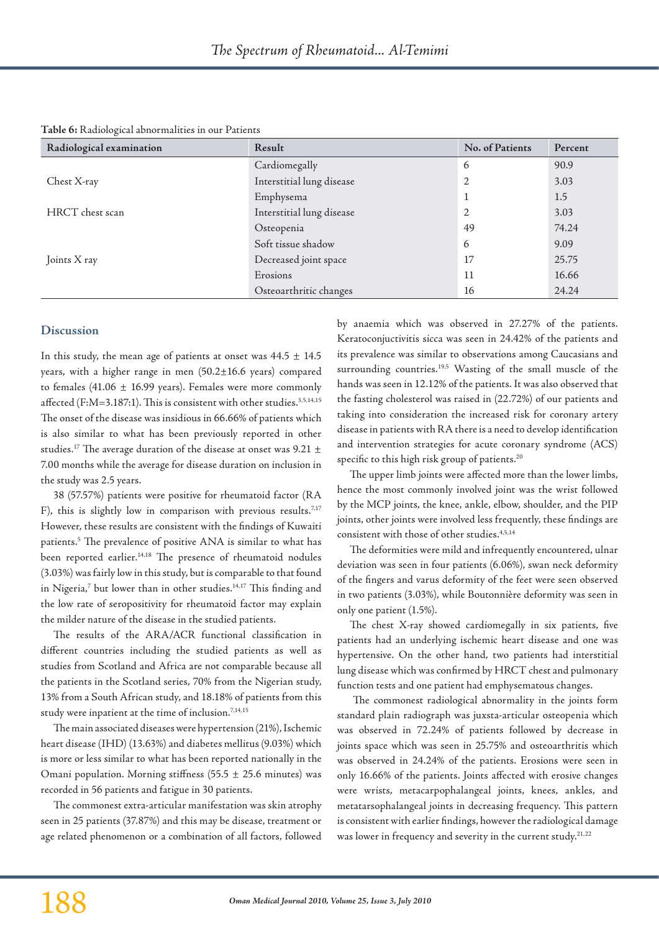| Radiological examination | Result                    | No. of Patients | Percent |
|--------------------------|---------------------------|-----------------|---------|
|                          | Cardiomegally             | 6               | 90.9    |
| Chest X-ray              | Interstitial lung disease | 2               | 3.03    |
|                          | Emphysema                 |                 | 1.5     |
| HRCT chest scan          | Interstitial lung disease | 2               | 3.03    |
|                          | Osteopenia                | 49              | 74.24   |
|                          | Soft tissue shadow        | 6               | 9.09    |
| Joints X ray             | Decreased joint space     | 17              | 25.75   |
|                          | Erosions                  | 11              | 16.66   |
|                          | Osteoarthritic changes    | 16              | 24.24   |

**Table 6:** Radiological abnormalities in our Patients

## **Discussion**

In this study, the mean age of patients at onset was  $44.5 \pm 14.5$ years, with a higher range in men (50.2±16.6 years) compared to females (41.06  $\pm$  16.99 years). Females were more commonly affected (F:M=3.187:1). This is consistent with other studies.<sup>3,5,14,15</sup> The onset of the disease was insidious in 66.66% of patients which is also similar to what has been previously reported in other studies.<sup>17</sup> The average duration of the disease at onset was 9.21  $\pm$ 7.00 months while the average for disease duration on inclusion in the study was 2.5 years.

38 (57.57%) patients were positive for rheumatoid factor (RA F), this is slightly low in comparison with previous results.<sup>7,17</sup> However, these results are consistent with the findings of Kuwaiti patients.5 The prevalence of positive ANA is similar to what has been reported earlier.<sup>14,18</sup> The presence of rheumatoid nodules (3.03%) was fairly low in this study, but is comparable to that found in Nigeria,<sup>7</sup> but lower than in other studies.<sup>14,17</sup> This finding and the low rate of seropositivity for rheumatoid factor may explain the milder nature of the disease in the studied patients.

The results of the ARA/ACR functional classification in different countries including the studied patients as well as studies from Scotland and Africa are not comparable because all the patients in the Scotland series, 70% from the Nigerian study, 13% from a South African study, and 18.18% of patients from this study were inpatient at the time of inclusion.7,14,15

The main associated diseases were hypertension (21%), Ischemic heart disease (IHD) (13.63%) and diabetes mellitus (9.03%) which is more or less similar to what has been reported nationally in the Omani population. Morning stiffness (55.5  $\pm$  25.6 minutes) was recorded in 56 patients and fatigue in 30 patients.

The commonest extra-articular manifestation was skin atrophy seen in 25 patients (37.87%) and this may be disease, treatment or age related phenomenon or a combination of all factors, followed by anaemia which was observed in 27.27% of the patients. Keratoconjuctivitis sicca was seen in 24.42% of the patients and its prevalence was similar to observations among Caucasians and surrounding countries.<sup>19,5</sup> Wasting of the small muscle of the hands was seen in 12.12% of the patients. It was also observed that the fasting cholesterol was raised in (22.72%) of our patients and taking into consideration the increased risk for coronary artery disease in patients with RA there is a need to develop identification and intervention strategies for acute coronary syndrome (ACS) specific to this high risk group of patients.<sup>20</sup>

The upper limb joints were affected more than the lower limbs, hence the most commonly involved joint was the wrist followed by the MCP joints, the knee, ankle, elbow, shoulder, and the PIP joints, other joints were involved less frequently, these findings are consistent with those of other studies.4,5,14

The deformities were mild and infrequently encountered, ulnar deviation was seen in four patients (6.06%), swan neck deformity of the fingers and varus deformity of the feet were seen observed in two patients (3.03%), while Boutonnière deformity was seen in only one patient (1.5%).

The chest X-ray showed cardiomegally in six patients, five patients had an underlying ischemic heart disease and one was hypertensive. On the other hand, two patients had interstitial lung disease which was confirmed by HRCT chest and pulmonary function tests and one patient had emphysematous changes.

The commonest radiological abnormality in the joints form standard plain radiograph was juxsta-articular osteopenia which was observed in 72.24% of patients followed by decrease in joints space which was seen in 25.75% and osteoarthritis which was observed in 24.24% of the patients. Erosions were seen in only 16.66% of the patients. Joints affected with erosive changes were wrists, metacarpophalangeal joints, knees, ankles, and metatarsophalangeal joints in decreasing frequency. This pattern is consistent with earlier findings, however the radiological damage was lower in frequency and severity in the current study.<sup>21,22</sup>